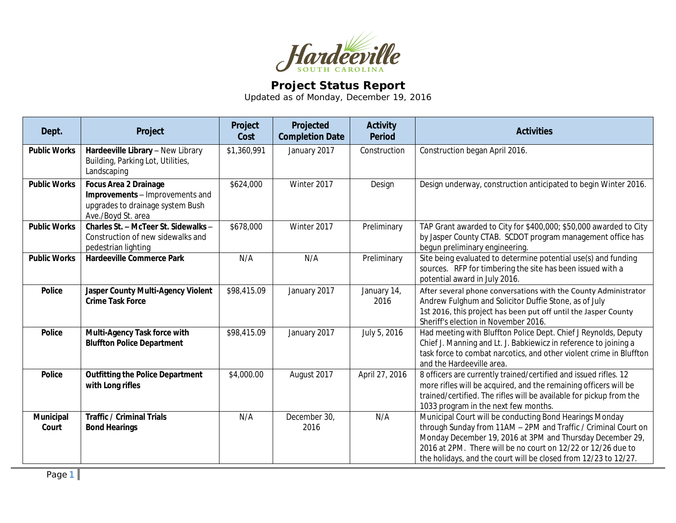

## **Project Status Report**

Updated as of Monday, December 19, 2016

| Dept.                     | Project                                                                                                                   | Project<br>Cost | Projected<br><b>Completion Date</b> | <b>Activity</b><br><b>Period</b> | <b>Activities</b>                                                                                                                                                                                                                                                                                                         |
|---------------------------|---------------------------------------------------------------------------------------------------------------------------|-----------------|-------------------------------------|----------------------------------|---------------------------------------------------------------------------------------------------------------------------------------------------------------------------------------------------------------------------------------------------------------------------------------------------------------------------|
| <b>Public Works</b>       | Hardeeville Library - New Library<br>Building, Parking Lot, Utilities,<br>Landscaping                                     | \$1,360,991     | January 2017                        | Construction                     | Construction began April 2016.                                                                                                                                                                                                                                                                                            |
| <b>Public Works</b>       | <b>Focus Area 2 Drainage</b><br>Improvements - Improvements and<br>upgrades to drainage system Bush<br>Ave./Boyd St. area | \$624,000       | Winter 2017                         | Design                           | Design underway, construction anticipated to begin Winter 2016.                                                                                                                                                                                                                                                           |
| <b>Public Works</b>       | Charles St. - McTeer St. Sidewalks -<br>Construction of new sidewalks and<br>pedestrian lighting                          | \$678,000       | Winter 2017                         | Preliminary                      | TAP Grant awarded to City for \$400,000; \$50,000 awarded to City<br>by Jasper County CTAB. SCDOT program management office has<br>begun preliminary engineering.                                                                                                                                                         |
| <b>Public Works</b>       | <b>Hardeeville Commerce Park</b>                                                                                          | N/A             | N/A                                 | Preliminary                      | Site being evaluated to determine potential use(s) and funding<br>sources. RFP for timbering the site has been issued with a<br>potential award in July 2016.                                                                                                                                                             |
| <b>Police</b>             | Jasper County Multi-Agency Violent<br><b>Crime Task Force</b>                                                             | \$98,415.09     | January 2017                        | January 14,<br>2016              | After several phone conversations with the County Administrator<br>Andrew Fulghum and Solicitor Duffie Stone, as of July<br>1st 2016, this project has been put off until the Jasper County<br>Sheriff's election in November 2016.                                                                                       |
| <b>Police</b>             | Multi-Agency Task force with<br><b>Bluffton Police Department</b>                                                         | \$98,415.09     | January 2017                        | July 5, 2016                     | Had meeting with Bluffton Police Dept. Chief J Reynolds, Deputy<br>Chief J. Manning and Lt. J. Babkiewicz in reference to joining a<br>task force to combat narcotics, and other violent crime in Bluffton<br>and the Hardeeville area.                                                                                   |
| <b>Police</b>             | <b>Outfitting the Police Department</b><br>with Long rifles                                                               | \$4,000.00      | August 2017                         | April 27, 2016                   | 8 officers are currently trained/certified and issued rifles. 12<br>more rifles will be acquired, and the remaining officers will be<br>trained/certified. The rifles will be available for pickup from the<br>1033 program in the next few months.                                                                       |
| <b>Municipal</b><br>Court | <b>Traffic / Criminal Trials</b><br><b>Bond Hearings</b>                                                                  | N/A             | December 30,<br>2016                | N/A                              | Municipal Court will be conducting Bond Hearings Monday<br>through Sunday from 11AM - 2PM and Traffic / Criminal Court on<br>Monday December 19, 2016 at 3PM and Thursday December 29,<br>2016 at 2PM. There will be no court on 12/22 or 12/26 due to<br>the holidays, and the court will be closed from 12/23 to 12/27. |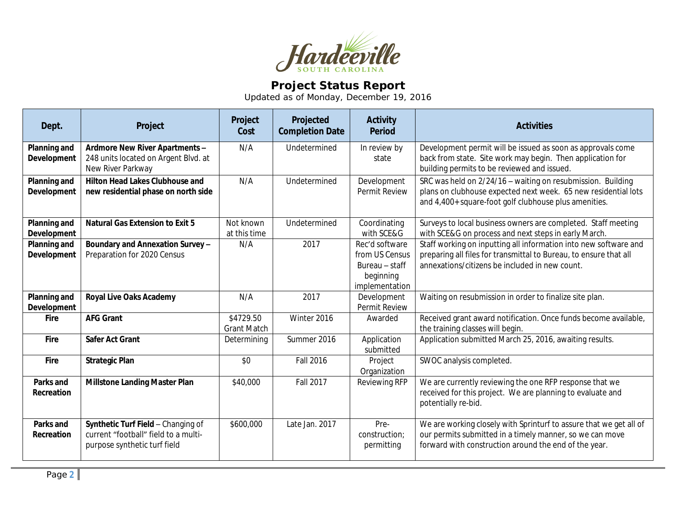

## **Project Status Report**

Updated as of Monday, December 19, 2016

| Dept.                                     | Project                                                                                                    | Project<br>Cost                 | Projected<br><b>Completion Date</b> | <b>Activity</b><br><b>Period</b>                                                  | <b>Activities</b>                                                                                                                                                                       |
|-------------------------------------------|------------------------------------------------------------------------------------------------------------|---------------------------------|-------------------------------------|-----------------------------------------------------------------------------------|-----------------------------------------------------------------------------------------------------------------------------------------------------------------------------------------|
| <b>Planning and</b><br><b>Development</b> | Ardmore New River Apartments -<br>248 units located on Argent Blvd. at<br>New River Parkway                | N/A                             | Undetermined                        | In review by<br>state                                                             | Development permit will be issued as soon as approvals come<br>back from state. Site work may begin. Then application for<br>building permits to be reviewed and issued.                |
| Planning and<br>Development               | <b>Hilton Head Lakes Clubhouse and</b><br>new residential phase on north side                              | N/A                             | Undetermined                        | Development<br>Permit Review                                                      | SRC was held on 2/24/16 - waiting on resubmission. Building<br>plans on clubhouse expected next week. 65 new residential lots<br>and 4,400+ square-foot golf clubhouse plus amenities.  |
| Planning and<br><b>Development</b>        | <b>Natural Gas Extension to Exit 5</b>                                                                     | Not known<br>at this time       | Undetermined                        | Coordinating<br>with SCE&G                                                        | Surveys to local business owners are completed. Staff meeting<br>with SCE&G on process and next steps in early March.                                                                   |
| Planning and<br>Development               | Boundary and Annexation Survey -<br>Preparation for 2020 Census                                            | N/A                             | 2017                                | Rec'd software<br>from US Census<br>Bureau - staff<br>beginning<br>implementation | Staff working on inputting all information into new software and<br>preparing all files for transmittal to Bureau, to ensure that all<br>annexations/citizens be included in new count. |
| Planning and<br>Development               | <b>Royal Live Oaks Academy</b>                                                                             | N/A                             | 2017                                | Development<br>Permit Review                                                      | Waiting on resubmission in order to finalize site plan.                                                                                                                                 |
| <b>Fire</b>                               | <b>AFG Grant</b>                                                                                           | \$4729.50<br><b>Grant Match</b> | Winter 2016                         | Awarded                                                                           | Received grant award notification. Once funds become available,<br>the training classes will begin.                                                                                     |
| Fire                                      | <b>Safer Act Grant</b>                                                                                     | Determining                     | Summer 2016                         | Application<br>submitted                                                          | Application submitted March 25, 2016, awaiting results.                                                                                                                                 |
| Fire                                      | <b>Strategic Plan</b>                                                                                      | \$0                             | <b>Fall 2016</b>                    | Project<br>Organization                                                           | SWOC analysis completed.                                                                                                                                                                |
| Parks and<br>Recreation                   | <b>Millstone Landing Master Plan</b>                                                                       | \$40,000                        | <b>Fall 2017</b>                    | Reviewing RFP                                                                     | We are currently reviewing the one RFP response that we<br>received for this project. We are planning to evaluate and<br>potentially re-bid.                                            |
| Parks and<br>Recreation                   | Synthetic Turf Field - Changing of<br>current "football" field to a multi-<br>purpose synthetic turf field | \$600,000                       | Late Jan. 2017                      | Pre-<br>construction;<br>permitting                                               | We are working closely with Sprinturf to assure that we get all of<br>our permits submitted in a timely manner, so we can move<br>forward with construction around the end of the year. |